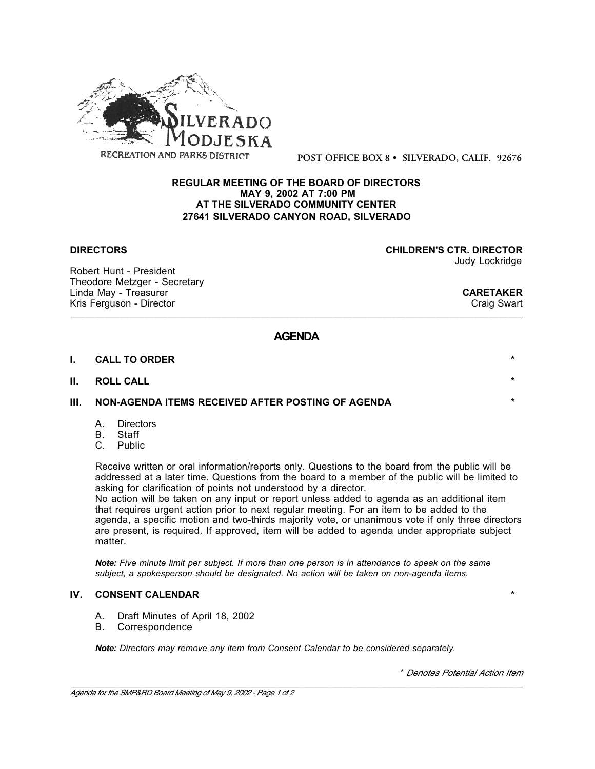

**POST OFFICE BOX 8 • SILVERADO, CALIF. 92676**

#### **REGULAR MEETING OF THE BOARD OF DIRECTORS MAY 9, 2002 AT 7:00 PM AT THE SILVERADO COMMUNITY CENTER 27641 SILVERADO CANYON ROAD, SILVERADO**

Robert Hunt - President Theodore Metzger - Secretary Linda May - Treasurer **CARETAKER**<br>
Kris Ferguson - Director **CARETAKER**<br>
Craig Swart Kris Ferguson - Director

**DIRECTORS CHILDREN'S CTR. DIRECTOR**

Judy Lockridge

# **AGENDA**

\_\_\_\_\_\_\_\_\_\_\_\_\_\_\_\_\_\_\_\_\_\_\_\_\_\_\_\_\_\_\_\_\_\_\_\_\_\_\_\_\_\_\_\_\_\_\_\_\_\_\_\_\_\_\_\_\_\_\_\_\_\_\_\_\_\_\_\_\_\_\_\_\_\_\_\_\_\_\_\_\_\_\_\_\_\_\_\_\_\_\_\_\_

| I. | <b>CALL TO ORDER</b>                                       | $\ast$  |
|----|------------------------------------------------------------|---------|
|    | II. ROLL CALL                                              | $\star$ |
|    | III.     NON-AGENDA ITEMS RECEIVED AFTER POSTING OF AGENDA | $\star$ |
|    |                                                            |         |

- A. Directors
- B. Staff
- C. Public

Receive written or oral information/reports only. Questions to the board from the public will be addressed at a later time. Questions from the board to a member of the public will be limited to asking for clarification of points not understood by a director.

No action will be taken on any input or report unless added to agenda as an additional item that requires urgent action prior to next regular meeting. For an item to be added to the agenda, a specific motion and two-thirds majority vote, or unanimous vote if only three directors are present, is required. If approved, item will be added to agenda under appropriate subject matter.

*Note: Five minute limit per subject. If more than one person is in attendance to speak on the same subject, a spokesperson should be designated. No action will be taken on non-agenda items.*

### **IV. CONSENT CALENDAR \***

- A. Draft Minutes of April 18, 2002
- B. Correspondence

*Note: Directors may remove any item from Consent Calendar to be considered separately.*

\* *Denotes Potential Action Item*

\_\_\_\_\_\_\_\_\_\_\_\_\_\_\_\_\_\_\_\_\_\_\_\_\_\_\_\_\_\_\_\_\_\_\_\_\_\_\_\_\_\_\_\_\_\_\_\_\_\_\_\_\_\_\_\_\_\_\_\_\_\_\_\_\_\_\_\_\_\_\_\_\_\_\_\_\_\_\_\_\_\_\_\_\_\_\_\_\_\_\_\_\_ *Agenda for the SMP&RD Board Meeting of May 9, 2002 - Page 1 of 2*